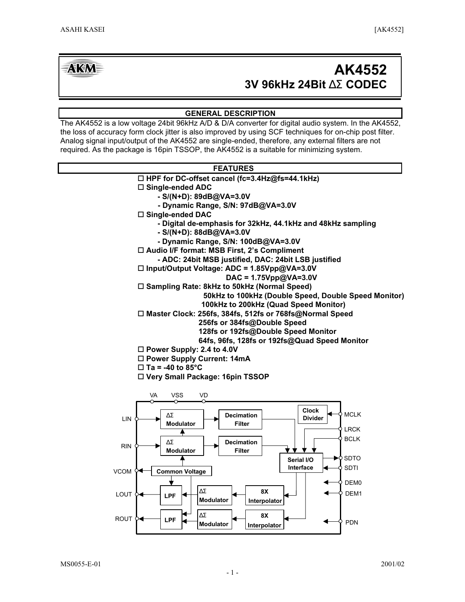# **AKM**

# **3V 96kHz 24Bit** ∆Σ **CODEC AK4552**

# **GENERAL DESCRIPTION**

The AK4552 is a low voltage 24bit 96kHz A/D & D/A converter for digital audio system. In the AK4552, the loss of accuracy form clock jitter is also improved by using SCF techniques for on-chip post filter. Analog signal input/output of the AK4552 are single-ended, therefore, any external filters are not required. As the package is 16pin TSSOP, the AK4552 is a suitable for minimizing system.

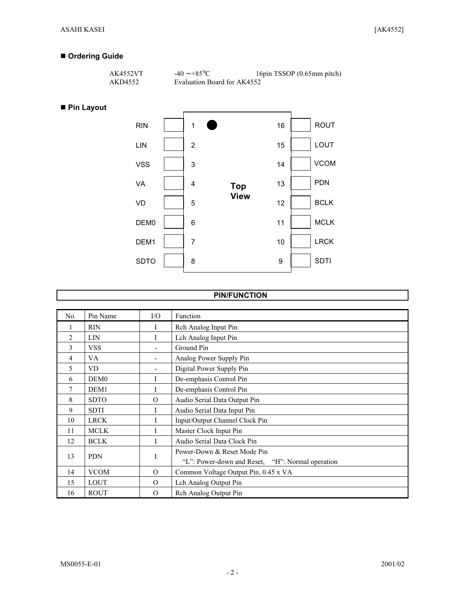# **Ordering Guide**

| AK4552VT | $-40 \sim +85$ °C           | 16pin TSSOP (0.65mm pitch) |
|----------|-----------------------------|----------------------------|
| AKD4552  | Evaluation Board for AK4552 |                            |

# **Pin Layout**



# **PIN/FUNCTION**

| No. | Pin Name         | $\rm LO$                 | Function                                         |
|-----|------------------|--------------------------|--------------------------------------------------|
|     | <b>RIN</b>       | I                        | Rch Analog Input Pin                             |
| 2   | <b>LIN</b>       |                          | Lch Analog Input Pin                             |
| 3   | <b>VSS</b>       |                          | Ground Pin                                       |
| 4   | VA.              | $\overline{\phantom{a}}$ | Analog Power Supply Pin                          |
| 5   | <b>VD</b>        | $\overline{\phantom{a}}$ | Digital Power Supply Pin                         |
| 6   | DEM <sub>0</sub> | I                        | De-emphasis Control Pin                          |
| 7   | DEM <sub>1</sub> | L                        | De-emphasis Control Pin                          |
| 8   | <b>SDTO</b>      | $\Omega$                 | Audio Serial Data Output Pin                     |
| 9   | <b>SDTI</b>      | I                        | Audio Serial Data Input Pin                      |
| 10  | <b>LRCK</b>      | I                        | Input/Output Channel Clock Pin                   |
| 11  | <b>MCLK</b>      | I                        | Master Clock Input Pin                           |
| 12  | <b>BCLK</b>      |                          | Audio Serial Data Clock Pin                      |
| 13  | <b>PDN</b>       | I                        | Power-Down & Reset Mode Pin                      |
|     |                  |                          | "L": Power-down and Reset, "H": Normal operation |
| 14  | <b>VCOM</b>      | $\Omega$                 | Common Voltage Output Pin, 0.45 x VA             |
| 15  | <b>LOUT</b>      | $\Omega$                 | Lch Analog Output Pin                            |
| 16  | <b>ROUT</b>      | $\Omega$                 | Rch Analog Output Pin                            |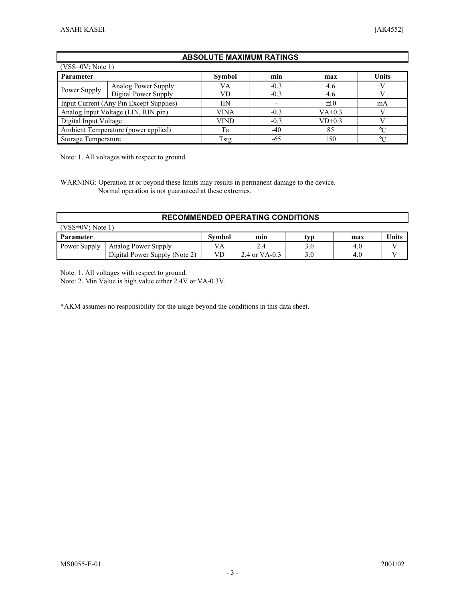## **ABSOLUTE MAXIMUM RATINGS**

| $(VSS=0V; Note 1)$                      |                     |               |        |          |         |
|-----------------------------------------|---------------------|---------------|--------|----------|---------|
| <b>Parameter</b>                        |                     | <b>Symbol</b> | min    | max      | Units   |
|                                         | Analog Power Supply | VA            | $-0.3$ | 4.6      |         |
| Power Supply<br>Digital Power Supply    |                     | VD            | $-0.3$ | 4.6      |         |
| Input Current (Any Pin Except Supplies) |                     | IΙN           |        | $\pm 10$ | mA      |
| Analog Input Voltage (LIN, RIN pin)     |                     | VINA          | $-0.3$ | $VA+0.3$ |         |
| Digital Input Voltage                   |                     | <b>VIND</b>   | $-0.3$ | $VD+0.3$ |         |
| Ambient Temperature (power applied)     |                     | Тa            | $-40$  | 85       | $\circ$ |
| Storage Temperature                     |                     | Tstg          | -65    | 150      | $\circ$ |

Note: 1. All voltages with respect to ground.

WARNING: Operation at or beyond these limits may results in permanent damage to the device. Normal operation is not guaranteed at these extremes.

| <b>RECOMMENDED OPERATING CONDITIONS</b> |                               |        |               |     |     |       |
|-----------------------------------------|-------------------------------|--------|---------------|-----|-----|-------|
| (VSS=0V: Note 1)                        |                               |        |               |     |     |       |
| Parameter                               |                               | Symbol | min           | tvp | max | Units |
| Power Supply                            | Analog Power Supply           | VA     | 2.4           | 3.0 | 4.0 |       |
|                                         | Digital Power Supply (Note 2) | VD     | 2.4 or VA-0.3 | 3.0 | 4.0 |       |

Note: 1. All voltages with respect to ground.

Note: 2. Min Value is high value either 2.4V or VA-0.3V.

\*AKM assumes no responsibility for the usage beyond the conditions in this data sheet.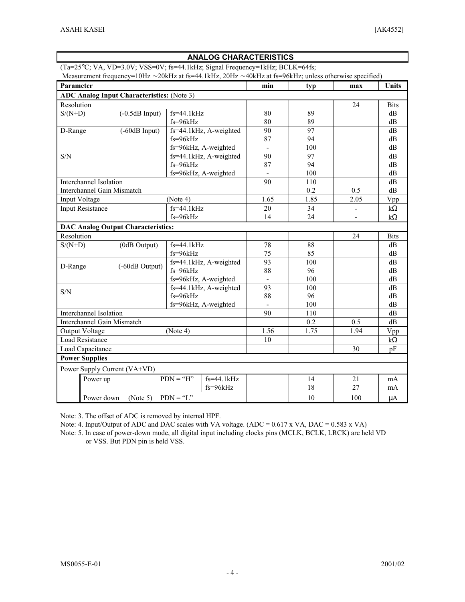# **ANALOG CHARACTERISTICS**

(Ta=25°C; VA, VD=3.0V; VSS=0V; fs=44.1kHz; Signal Frequency=1kHz; BCLK=64fs;

Measurement frequency=10Hz ∼ 20kHz at fs=44.1kHz, 20Hz ∼ 40kHz at fs=96kHz; unless otherwise specified)

|                  | Parameter                                         |                  |                | min                    | typ                          | max  | Units |             |
|------------------|---------------------------------------------------|------------------|----------------|------------------------|------------------------------|------|-------|-------------|
|                  | <b>ADC Analog Input Characteristics:</b> (Note 3) |                  |                |                        |                              |      |       |             |
| Resolution       |                                                   |                  |                |                        |                              |      | 24    | <b>Bits</b> |
| $S/(N+D)$        |                                                   | $(-0.5dB$ Input) | $fs = 44.1kHz$ |                        | 80                           | 89   |       | dB          |
|                  |                                                   |                  | $fs = 96kHz$   |                        | 80                           | 89   |       | dB          |
| D-Range          |                                                   | $(-60dB$ Input)  |                | fs=44.1kHz, A-weighted | 90                           | 97   |       | dB          |
|                  |                                                   |                  | $fs = 96kHz$   |                        | 87                           | 94   |       | dB          |
|                  |                                                   |                  |                | fs=96kHz, A-weighted   |                              | 100  |       | dB          |
| S/N              |                                                   |                  |                | fs=44.1kHz, A-weighted | 90                           | 97   |       | dB          |
|                  |                                                   |                  | $fs = 96kHz$   |                        | 87                           | 94   |       | dB          |
|                  |                                                   |                  |                | fs=96kHz, A-weighted   |                              | 100  |       | dB          |
|                  | Interchannel Isolation                            |                  |                |                        | 90                           | 110  |       | dB          |
|                  | Interchannel Gain Mismatch                        |                  |                |                        |                              | 0.2  | 0.5   | dB          |
|                  | Input Voltage                                     |                  | (Note 4)       |                        | 1.65                         | 1.85 | 2.05  | Vpp         |
|                  | <b>Input Resistance</b>                           |                  | $fs=44.1kHz$   |                        | 20                           | 34   |       | $k\Omega$   |
|                  |                                                   |                  | $fs = 96kHz$   |                        | 14                           | 24   |       | $k\Omega$   |
|                  | <b>DAC Analog Output Characteristics:</b>         |                  |                |                        |                              |      |       |             |
| Resolution       |                                                   |                  |                |                        |                              |      | 24    | <b>Bits</b> |
| $S/(N+D)$        |                                                   | (0dB Output)     | $fs=44.1kHz$   |                        | 78                           | 88   |       | dB          |
|                  |                                                   |                  | fs=96kHz       |                        | 75                           | 85   |       | dB          |
|                  |                                                   | (-60dB Output)   |                | fs=44.1kHz, A-weighted | 93                           | 100  |       | dB          |
| D-Range          |                                                   |                  | $fs = 96kHz$   |                        | 88                           | 96   |       | dB          |
|                  |                                                   |                  |                | fs=96kHz, A-weighted   | $\qquad \qquad \blacksquare$ | 100  |       | dB          |
| S/N              |                                                   |                  |                | fs=44.1kHz, A-weighted | 93                           | 100  |       | dB          |
|                  |                                                   |                  | $fs = 96kHz$   |                        | 88                           | 96   |       | dB          |
|                  |                                                   |                  |                | fs=96kHz, A-weighted   |                              | 100  |       | dB          |
|                  | Interchannel Isolation                            |                  |                |                        | 90                           | 110  |       | dB          |
|                  | Interchannel Gain Mismatch                        |                  |                |                        |                              | 0.2  | 0.5   | dB          |
|                  | <b>Output Voltage</b>                             |                  | (Note 4)       |                        | 1.56                         | 1.75 | 1.94  | Vpp         |
|                  | <b>Load Resistance</b>                            |                  |                |                        | 10                           |      |       | $k\Omega$   |
| Load Capacitance |                                                   |                  |                |                        | 30                           | pF   |       |             |
|                  | <b>Power Supplies</b>                             |                  |                |                        |                              |      |       |             |
|                  | Power Supply Current (VA+VD)                      |                  |                |                        |                              |      |       |             |
|                  | Power up                                          |                  | $PDN = "H"$    | $fs = 44.1kHz$         |                              | 14   | 21    | mA          |
|                  |                                                   |                  |                | $fs = 96kHz$           |                              | 18   | 27    | mA          |
|                  | Power down                                        | (Note 5)         | $PDN = "L"$    |                        |                              | 10   | 100   | $\mu A$     |

Note: 3. The offset of ADC is removed by internal HPF.

Note: 4. Input/Output of ADC and DAC scales with VA voltage. (ADC = 0.617 x VA, DAC = 0.583 x VA)

Note: 5. In case of power-down mode, all digital input including clocks pins (MCLK, BCLK, LRCK) are held VD or VSS. But PDN pin is held VSS.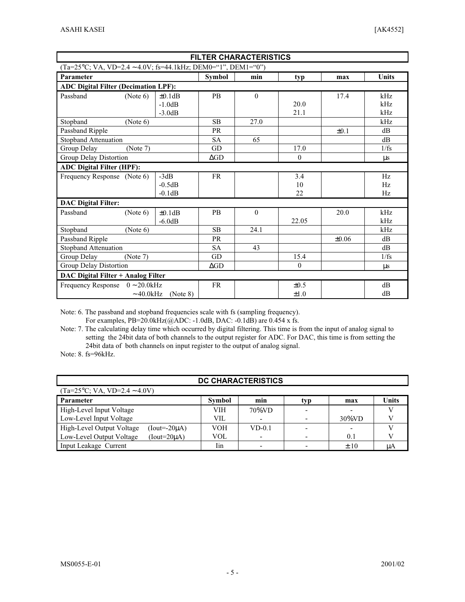Г

| <b>FILTER CHARACTERISTICS</b>                                              |                |              |               |          |            |           |              |
|----------------------------------------------------------------------------|----------------|--------------|---------------|----------|------------|-----------|--------------|
| $(Ta=25^{\circ}C; VA, VD=2.4 \sim 4.0V; fs=44.1kHz; DEM0=``1", DEM1=``0")$ |                |              |               |          |            |           |              |
| Parameter                                                                  |                |              | <b>Symbol</b> | min      | typ        | max       | <b>Units</b> |
| <b>ADC Digital Filter (Decimation LPF):</b>                                |                |              |               |          |            |           |              |
| Passband                                                                   | (Note 6)       | $\pm 0.1$ dB | <b>PB</b>     | $\theta$ |            | 17.4      | kHz          |
|                                                                            |                | $-1.0dB$     |               |          | 20.0       |           | kHz          |
|                                                                            |                | $-3.0dB$     |               |          | 21.1       |           | kHz          |
| Stopband                                                                   | (Note 6)       |              | <b>SB</b>     | 27.0     |            |           | kHz          |
| Passband Ripple                                                            |                |              | <b>PR</b>     |          |            | $\pm 0.1$ | dB           |
| Stopband Attenuation                                                       |                |              | <b>SA</b>     | 65       |            |           | dB           |
| Group Delay                                                                | (Note 7)       |              | GD            |          | 17.0       |           | 1/fs         |
| Group Delay Distortion                                                     |                |              | $\Delta GD$   |          | $\theta$   |           | $\mu$ s      |
| <b>ADC Digital Filter (HPF):</b>                                           |                |              |               |          |            |           |              |
| Frequency Response (Note 6)                                                |                | $-3dB$       | <b>FR</b>     |          | 3.4        |           | Hz           |
|                                                                            |                | $-0.5dB$     |               |          | 10         |           | Hz           |
|                                                                            |                | $-0.1dB$     |               |          | 22         |           | Hz           |
| <b>DAC Digital Filter:</b>                                                 |                |              |               |          |            |           |              |
| Passband                                                                   | (Note 6)       | $\pm 0.1$ dB | <b>PB</b>     | $\theta$ |            | 20.0      | kHz          |
|                                                                            |                | $-6.0dB$     |               |          | 22.05      |           | kHz          |
| Stopband                                                                   | (Note 6)       |              | <b>SB</b>     | 24.1     |            |           | kHz          |
| Passband Ripple                                                            |                | <b>PR</b>    |               |          | $\pm 0.06$ | dB        |              |
| Stopband Attenuation                                                       |                | <b>SA</b>    | 43            |          |            | dB        |              |
| Group Delay<br>(Note 7)                                                    |                | GD           |               | 15.4     |            | 1/fs      |              |
| Group Delay Distortion                                                     |                |              | $\Delta GD$   |          | $\theta$   |           | $\mu$ s      |
| DAC Digital Filter + Analog Filter                                         |                |              |               |          |            |           |              |
| Frequency Response $0 \sim 20.0$ kHz                                       |                |              | <b>FR</b>     |          | $\pm 0.5$  |           | dB           |
|                                                                            | $\sim$ 40.0kHz | (Note 8)     |               |          | $\pm 1.0$  |           | dB           |

Note: 6. The passband and stopband frequencies scale with fs (sampling frequency).

For examples, PB=20.0kHz(@ADC: -1.0dB, DAC: -0.1dB) are 0.454 x fs.

Note: 7. The calculating delay time which occurred by digital filtering. This time is from the input of analog signal to setting the 24bit data of both channels to the output register for ADC. For DAC, this time is from setting the 24bit data of both channels on input register to the output of analog signal.

Note: 8. fs=96kHz.

| <b>DC CHARACTERISTICS</b>                                              |            |           |  |           |    |  |
|------------------------------------------------------------------------|------------|-----------|--|-----------|----|--|
| $(Ta=25\degree C; VA, VD=2.4 \sim 4.0 V)$                              |            |           |  |           |    |  |
| <b>Units</b><br>min<br><b>Symbol</b><br><b>Parameter</b><br>typ<br>max |            |           |  |           |    |  |
| High-Level Input Voltage                                               | VIH        | $70\%$ VD |  |           |    |  |
| Low-Level Input Voltage                                                | <b>VIL</b> |           |  | $30\%$ VD |    |  |
| High-Level Output Voltage<br>(Iout=- $20\mu$ A)                        | <b>VOH</b> | $VD-0.1$  |  | -         |    |  |
| Low-Level Output Voltage<br>$(Iout=20\mu A)$                           | VOL        |           |  | 0.1       |    |  |
| Input Leakage Current                                                  | Iin        |           |  | $\pm 10$  | цA |  |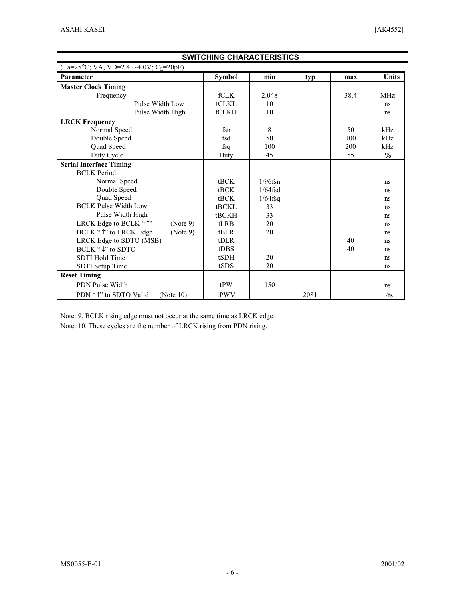r

| <b>SWITCHING CHARACTERISTICS</b>                      |                  |            |      |      |              |
|-------------------------------------------------------|------------------|------------|------|------|--------------|
| $(Ta=25\text{°C}; VA, VD=2.4 \sim 4.0 V; C_{L}=20pF)$ |                  |            |      |      |              |
| Parameter                                             | <b>Symbol</b>    | min        | typ  | max  | <b>Units</b> |
| <b>Master Clock Timing</b>                            |                  |            |      |      |              |
| Frequency                                             | fCLK             | 2.048      |      | 38.4 | <b>MHz</b>   |
| Pulse Width Low                                       | <b>tCLKL</b>     | 10         |      |      | ns           |
| Pulse Width High                                      | tCLKH            | 10         |      |      | ns           |
| <b>LRCK Frequency</b>                                 |                  |            |      |      |              |
| Normal Speed                                          | fsn              | 8          |      | 50   | kHz          |
| Double Speed                                          | fsd              | 50         |      | 100  | kHz          |
| Quad Speed                                            | fsq              | 100        |      | 200  | kHz          |
| Duty Cycle                                            | Duty             | 45         |      | 55   | $\%$         |
| <b>Serial Interface Timing</b>                        |                  |            |      |      |              |
| <b>BCLK</b> Period                                    |                  |            |      |      |              |
| Normal Speed                                          | tBCK             | $1/96$ fsn |      |      | ns           |
| Double Speed                                          | tBCK             | $1/64$ fsd |      |      | ns           |
| Quad Speed                                            | tBCK             | $1/64$ fsq |      |      | ns           |
| <b>BCLK Pulse Width Low</b>                           | <b>tBCKL</b>     | 33         |      |      | ns           |
| Pulse Width High                                      | tBCKH            | 33         |      |      | ns           |
| LRCK Edge to BCLK "^"<br>(Note 9)                     | tLRB             | 20         |      |      | ns           |
| BCLK "Î" to LRCK Edge<br>(Note 9)                     | tBLR             | 20         |      |      | ns           |
| LRCK Edge to SDTO (MSB)                               | $t$ DLR          |            |      | 40   | ns           |
| $BCLK " \downarrow"$ to SDTO                          | t <sub>DBS</sub> |            |      | 40   | ns           |
| SDTI Hold Time                                        | tSDH             | 20         |      |      | ns           |
| SDTI Setup Time                                       | tSDS             | 20         |      |      | ns           |
| <b>Reset Timing</b>                                   |                  |            |      |      |              |
| PDN Pulse Width                                       | tPW              | 150        |      |      | ns           |
| PDN " <sup>1</sup> " to SDTO Valid<br>(Note $10$ )    | tPWV             |            | 2081 |      | 1/fs         |

Note: 9. BCLK rising edge must not occur at the same time as LRCK edge.

Note: 10. These cycles are the number of LRCK rising from PDN rising.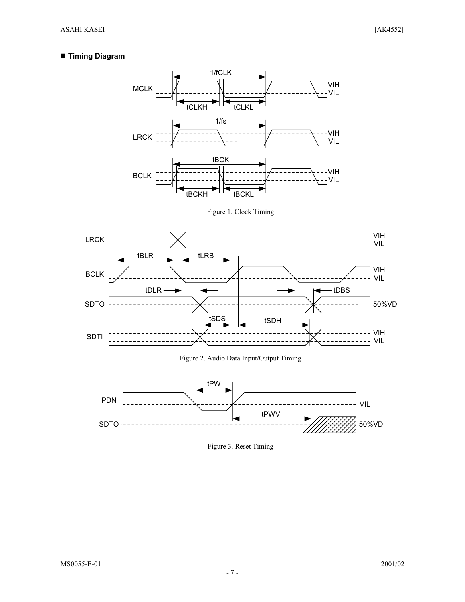# **Timing Diagram**



Figure 1. Clock Timing





Figure 3. Reset Timing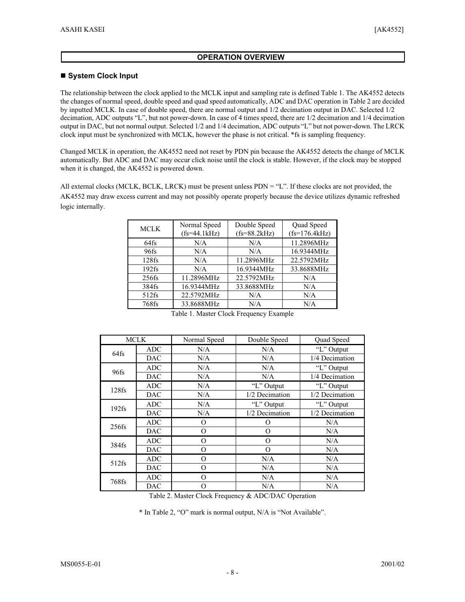# **OPERATION OVERVIEW**

## **System Clock Input**

The relationship between the clock applied to the MCLK input and sampling rate is defined Table 1. The AK4552 detects the changes of normal speed, double speed and quad speed automatically, ADC and DAC operation in Table 2 are decided by inputted MCLK. In case of double speed, there are normal output and 1/2 decimation output in DAC. Selected 1/2 decimation, ADC outputs "L", but not power-down. In case of 4 times speed, there are 1/2 decimation and 1/4 decimation output in DAC, but not normal output. Selected 1/2 and 1/4 decimation, ADC outputs "L" but not power-down. The LRCK clock input must be synchronized with MCLK, however the phase is not critical. \*fs is sampling frequency.

Changed MCLK in operation, the AK4552 need not reset by PDN pin because the AK4552 detects the change of MCLK automatically. But ADC and DAC may occur click noise until the clock is stable. However, if the clock may be stopped when it is changed, the AK4552 is powered down.

All external clocks (MCLK, BCLK, LRCK) must be present unless PDN = "L". If these clocks are not provided, the AK4552 may draw excess current and may not possibly operate properly because the device utilizes dynamic refreshed logic internally.

| <b>MCLK</b> | Normal Speed<br>$(fs=44.1kHz)$ | Double Speed<br>$(fs = 88.2kHz)$ | Quad Speed<br>$(fs=176.4kHz)$ |
|-------------|--------------------------------|----------------------------------|-------------------------------|
| $64$ fs     | N/A                            | N/A                              | 11.2896MHz                    |
| 96fs        | N/A                            | N/A                              | 16.9344MHz                    |
| $128$ fs    | N/A                            | 11.2896MHz                       | 22.5792MHz                    |
| $192$ fs    | N/A                            | 16.9344MHz                       | 33.8688MHz                    |
| $256$ fs    | 11.2896MHz                     | 22.5792MHz                       | N/A                           |
| 384fs       | 16.9344MHz                     | 33.8688MHz                       | N/A                           |
| $512$ fs    | 22.5792MHz                     | N/A                              | N/A                           |
| 768fs       | 33.8688MHz                     | N/A                              | N/A                           |

Table 1. Master Clock Frequency Example

| <b>MCLK</b> |            | Normal Speed | Double Speed   | Quad Speed     |
|-------------|------------|--------------|----------------|----------------|
|             | ADC        | N/A          | N/A            | "L" Output     |
| 64fs        | <b>DAC</b> | N/A          | N/A            | 1/4 Decimation |
| 96fs        | ADC        | N/A          | N/A            | "L" Output     |
|             | <b>DAC</b> | N/A          | N/A            | 1/4 Decimation |
| $128$ fs    | ADC        | N/A          | "L" Output     | "L" Output     |
|             | DAC        | N/A          | 1/2 Decimation | 1/2 Decimation |
| $192$ fs    | ADC        | N/A          | "L" Output     | "L" Output     |
|             | <b>DAC</b> | N/A          | 1/2 Decimation | 1/2 Decimation |
| $256$ fs    | ADC        | O            | Ω              | N/A            |
|             | <b>DAC</b> | O            | O              | N/A            |
| 384fs       | <b>ADC</b> | O            | O              | N/A            |
|             | <b>DAC</b> | $\Omega$     | $\Omega$       | N/A            |
| $512$ fs    | ADC        | O            | N/A            | N/A            |
|             | <b>DAC</b> | $\Omega$     | N/A            | N/A            |
| 768fs       | <b>ADC</b> | $\Omega$     | N/A            | N/A            |
|             | <b>DAC</b> | O            | N/A            | N/A            |

Table 2. Master Clock Frequency & ADC/DAC Operation

\* In Table 2, "O" mark is normal output, N/A is "Not Available".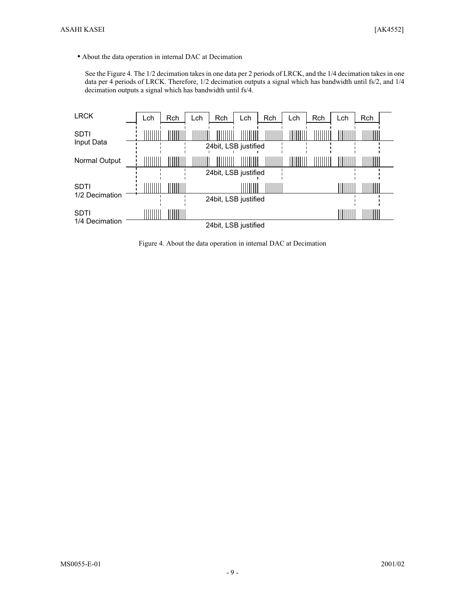• About the data operation in internal DAC at Decimation

See the Figure 4. The 1/2 decimation takes in one data per 2 periods of LRCK, and the 1/4 decimation takes in one data per 4 periods of LRCK. Therefore, 1/2 decimation outputs a signal which has bandwidth until fs/2, and 1/4 decimation outputs a signal which has bandwidth until fs/4.



Figure 4. About the data operation in internal DAC at Decimation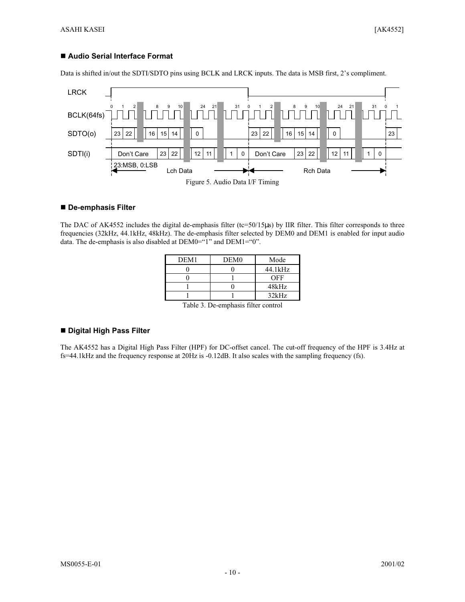## ■ Audio Serial Interface Format

Data is shifted in/out the SDTI/SDTO pins using BCLK and LRCK inputs. The data is MSB first, 2's compliment.



#### **De-emphasis Filter**

The DAC of AK4552 includes the digital de-emphasis filter (tc=50/15µs) by IIR filter. This filter corresponds to three frequencies (32kHz, 44.1kHz, 48kHz). The de-emphasis filter selected by DEM0 and DEM1 is enabled for input audio data. The de-emphasis is also disabled at DEM0="1" and DEM1="0".

| DEM <sub>1</sub>        | DEM <sub>0</sub>     | Mode    |
|-------------------------|----------------------|---------|
|                         |                      | 44.1kHz |
|                         |                      | OFF     |
|                         |                      | 48kHz   |
|                         |                      | 32kHz   |
| ___<br>$\sim$<br>$\sim$ | ---<br>. .<br>$\sim$ |         |

Table 3. De-emphasis filter control

### **Digital High Pass Filter**

The AK4552 has a Digital High Pass Filter (HPF) for DC-offset cancel. The cut-off frequency of the HPF is 3.4Hz at fs=44.1kHz and the frequency response at 20Hz is -0.12dB. It also scales with the sampling frequency (fs).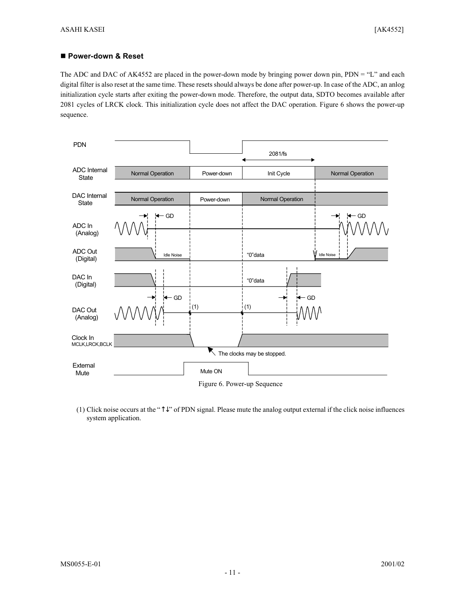## ■ Power-down & Reset

The ADC and DAC of AK4552 are placed in the power-down mode by bringing power down pin, PDN = "L" and each digital filter is also reset at the same time. These resets should always be done after power-up. In case of the ADC, an anlog initialization cycle starts after exiting the power-down mode. Therefore, the output data, SDTO becomes available after 2081 cycles of LRCK clock. This initialization cycle does not affect the DAC operation. Figure 6 shows the power-up sequence.



(1) Click noise occurs at the "↑↓" of PDN signal. Please mute the analog output external if the click noise influences system application.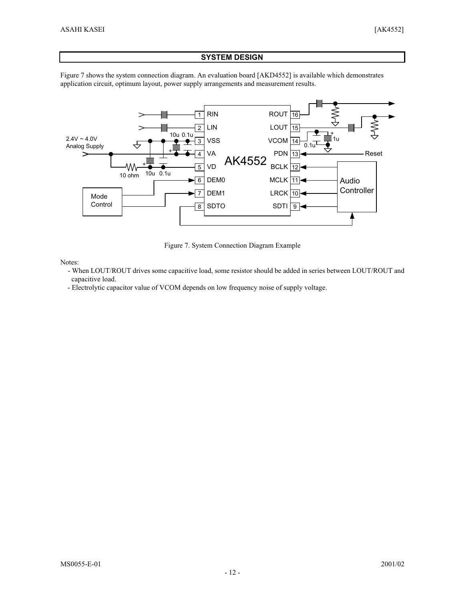## **SYSTEM DESIGN**

Figure 7 shows the system connection diagram. An evaluation board [AKD4552] is available which demonstrates application circuit, optimum layout, power supply arrangements and measurement results.



Figure 7. System Connection Diagram Example

Notes:

- When LOUT/ROUT drives some capacitive load, some resistor should be added in series between LOUT/ROUT and capacitive load.
- Electrolytic capacitor value of VCOM depends on low frequency noise of supply voltage.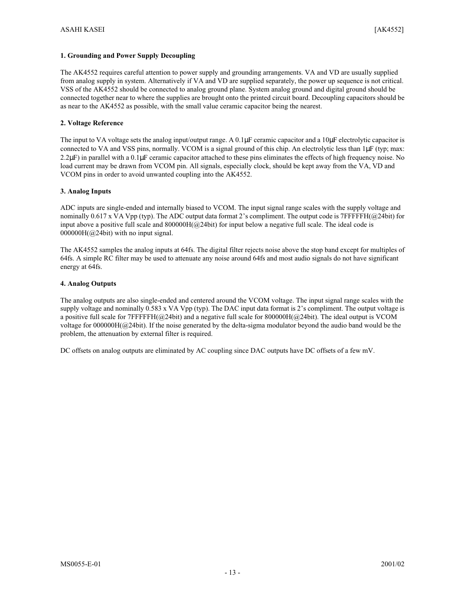#### **1. Grounding and Power Supply Decoupling**

The AK4552 requires careful attention to power supply and grounding arrangements. VA and VD are usually supplied from analog supply in system. Alternatively if VA and VD are supplied separately, the power up sequence is not critical. VSS of the AK4552 should be connected to analog ground plane. System analog ground and digital ground should be connected together near to where the supplies are brought onto the printed circuit board. Decoupling capacitors should be as near to the AK4552 as possible, with the small value ceramic capacitor being the nearest.

#### **2. Voltage Reference**

The input to VA voltage sets the analog input/output range. A 0.1µF ceramic capacitor and a 10µF electrolytic capacitor is connected to VA and VSS pins, normally. VCOM is a signal ground of this chip. An electrolytic less than 1µF (typ; max:  $2.2\mu$ F) in parallel with a 0.1 $\mu$ F ceramic capacitor attached to these pins eliminates the effects of high frequency noise. No load current may be drawn from VCOM pin. All signals, especially clock, should be kept away from the VA, VD and VCOM pins in order to avoid unwanted coupling into the AK4552.

#### **3. Analog Inputs**

ADC inputs are single-ended and internally biased to VCOM. The input signal range scales with the supply voltage and nominally 0.617 x VA Vpp (typ). The ADC output data format 2's compliment. The output code is 7FFFFFH( $@24bit$ ) for input above a positive full scale and 800000H(@24bit) for input below a negative full scale. The ideal code is  $000000H(Q24bit)$  with no input signal.

The AK4552 samples the analog inputs at 64fs. The digital filter rejects noise above the stop band except for multiples of 64fs. A simple RC filter may be used to attenuate any noise around 64fs and most audio signals do not have significant energy at 64fs.

#### **4. Analog Outputs**

The analog outputs are also single-ended and centered around the VCOM voltage. The input signal range scales with the supply voltage and nominally 0.583 x VA Vpp (typ). The DAC input data format is 2's compliment. The output voltage is a positive full scale for  $7FFFFHH$ ( $@24bit$ ) and a negative full scale for 800000H( $@24bit$ ). The ideal output is VCOM voltage for 000000H(@24bit). If the noise generated by the delta-sigma modulator beyond the audio band would be the problem, the attenuation by external filter is required.

DC offsets on analog outputs are eliminated by AC coupling since DAC outputs have DC offsets of a few mV.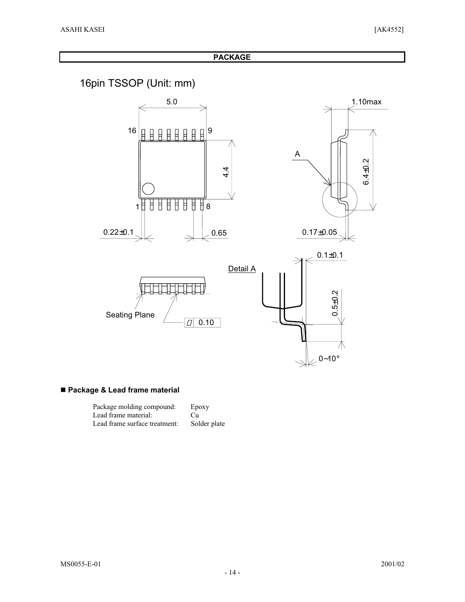**PACKAGE**

16pin TSSOP (Unit: mm)



# **Package & Lead frame material**

| Package molding compound:     | Epoxy        |
|-------------------------------|--------------|
| Lead frame material:          | Cп           |
| Lead frame surface treatment: | Solder plate |